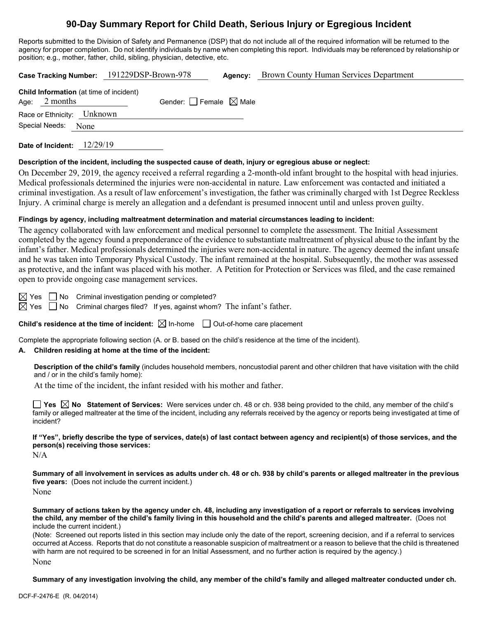# **90-Day Summary Report for Child Death, Serious Injury or Egregious Incident**

Reports submitted to the Division of Safety and Permanence (DSP) that do not include all of the required information will be returned to the agency for proper completion. Do not identify individuals by name when completing this report. Individuals may be referenced by relationship or position; e.g., mother, father, child, sibling, physician, detective, etc.

|                                                                   | Case Tracking Number: 191229DSP-Brown-978 | Agency: | <b>Brown County Human Services Department</b> |
|-------------------------------------------------------------------|-------------------------------------------|---------|-----------------------------------------------|
| <b>Child Information</b> (at time of incident)<br>Age: $2$ months | Gender: Female $\boxtimes$ Male           |         |                                               |
| Race or Ethnicity: Unknown                                        |                                           |         |                                               |
| Special Needs:<br>None                                            |                                           |         |                                               |
|                                                                   |                                           |         |                                               |

**Date of Incident:** 12/29/19

#### **Description of the incident, including the suspected cause of death, injury or egregious abuse or neglect:**

On December 29, 2019, the agency received a referral regarding a 2-month-old infant brought to the hospital with head injuries. Medical professionals determined the injuries were non-accidental in nature. Law enforcement was contacted and initiated a criminal investigation. As a result of law enforcement's investigation, the father was criminally charged with 1st Degree Reckless Injury. A criminal charge is merely an allegation and a defendant is presumed innocent until and unless proven guilty.

#### **Findings by agency, including maltreatment determination and material circumstances leading to incident:**

The agency collaborated with law enforcement and medical personnel to complete the assessment. The Initial Assessment completed by the agency found a preponderance of the evidence to substantiate maltreatment of physical abuse to the infant by the infant's father. Medical professionals determined the injuries were non-accidental in nature. The agency deemed the infant unsafe and he was taken into Temporary Physical Custody. The infant remained at the hospital. Subsequently, the mother was assessed as protective, and the infant was placed with his mother. A Petition for Protection or Services was filed, and the case remained open to provide ongoing case management services.

 $\boxtimes$  Yes  $\Box$  No Criminal investigation pending or completed?

 $\boxtimes$  Yes  $\Box$  No Criminal charges filed? If yes, against whom? The infant's father.

**Child's residence at the time of incident:**  $\boxtimes$  In-home  $\Box$  Out-of-home care placement

Complete the appropriate following section (A. or B. based on the child's residence at the time of the incident).

#### **A. Children residing at home at the time of the incident:**

**Description of the child's family** (includes household members, noncustodial parent and other children that have visitation with the child and / or in the child's family home):

At the time of the incident, the infant resided with his mother and father.

**Yes No Statement of Services:** Were services under ch. 48 or ch. 938 being provided to the child, any member of the child's family or alleged maltreater at the time of the incident, including any referrals received by the agency or reports being investigated at time of incident?

**If "Yes", briefly describe the type of services, date(s) of last contact between agency and recipient(s) of those services, and the person(s) receiving those services:**

N/A

**Summary of all involvement in services as adults under ch. 48 or ch. 938 by child's parents or alleged maltreater in the previous five years:** (Does not include the current incident.) None

**Summary of actions taken by the agency under ch. 48, including any investigation of a report or referrals to services involving the child, any member of the child's family living in this household and the child's parents and alleged maltreater.** (Does not include the current incident.)

(Note: Screened out reports listed in this section may include only the date of the report, screening decision, and if a referral to services occurred at Access. Reports that do not constitute a reasonable suspicion of maltreatment or a reason to believe that the child is threatened with harm are not required to be screened in for an Initial Assessment, and no further action is required by the agency.)

None

**Summary of any investigation involving the child, any member of the child's family and alleged maltreater conducted under ch.**